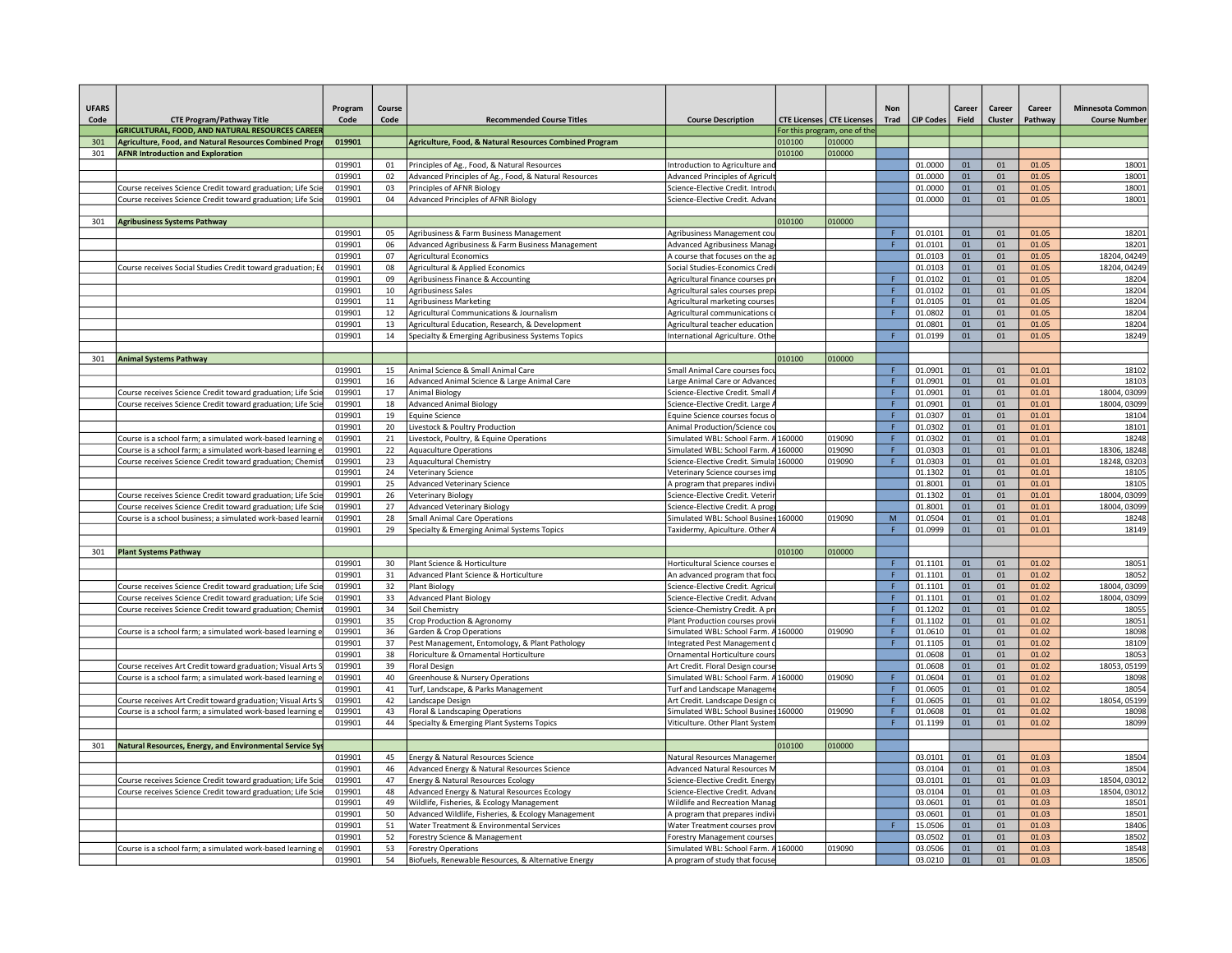| Program<br><b>CTE Program/Pathway Title</b><br>Code Code<br><b>GRICULTURAL, FOOD, AND NATURAL RESOURCES CAREER</b><br>1   Agriculture, Food, and Natural Resources Combined Progr   019901         Agriculture, Food, & Natural Resources Combined Program<br><b>AFNR Introduction and Exploration</b><br>Course receives Science Credit toward graduation; Life Scie 019901 03 Principles of AFNR Biology<br>Course receives Science Credit toward graduation; Life Scie 019901 04 Advanced Principles of AFNR Biology<br><b>Agribusiness Systems Pathway</b><br>Course receives Social Studies Credit toward graduation; E 019901 08 Agricultural & Applied Economics<br>019901 10 Agribusiness Sales<br><b>Animal Systems Pathway</b><br>Course receives Science Credit toward graduation; Life Scie 019901 17 Animal Biology<br>Course receives Science Credit toward graduation; Life Scie 019901 18 Advanced Animal Biology<br>019901 19 Equine Science<br>Sourse is a school farm; a simulated work-based learning e <b>019901</b> 21 Livestock, Poultry, & Equine Operations<br>Course is a school farm; a simulated work-based learning e 019901 22 Aquaculture Operations<br>Course receives Science Credit toward graduation; Chemist 019901 23 Aquacultural Chemistry<br>019901 24 Veterinary Science<br>019901 25 Advanced Veterinary Science<br>Course receives Science Credit toward graduation; Life Scie 019901 27 Advanced Veterinary Biology<br>Course is a school business; a simulated work-based learnin 019901 28 Small Animal Care Operations<br><b>Plant Systems Pathway</b><br><u> La Carlo de la Carlo de la Carlo de la Carlo de la Carlo de la Carlo de la Carlo de la Carlo de la Carlo de la </u><br>Course receives Science Credit toward graduation; Life Scie 019901   32   Plant Biology<br>Course receives Science Credit toward graduation; Life Scie 019901 33 Advanced Plant Biology<br>Course receives Science Credit toward graduation; Chemist 019901 34 Soil Chemistry<br>Course is a school farm; a simulated work-based learning e 019901 36 Garden & Crop Operations<br>Course receives Art Credit toward graduation; Visual Arts S 019901 39 Floral Design<br>Course is a school farm; a simulated work-based learning e 019901 40 Greenhouse & Nursery Operations<br><u>Course receives Art Credit toward graduation; Visual Arts S                    019901    42    Landscape Design</u><br>Course is a school farm; a simulated work-based learning e 019901 43 Floral & Landscaping Operations<br><b>Natural Resources, Energy, and Environmental Service Sys</b><br>Course receives Science Credit toward graduation; Life Scie 019901   47   Energy & Natural Resources Ecology<br>Course receives Science Credit toward graduation; Life Scie 019901 48 Advanced Energy & Natural Resources Ecology<br>019901 52 Forestry Science & Management<br>Course is a school farm; a simulated work-based learning e 019901 53 Forestry Operations |  |                                                                                                |                                                                                                 |                                                                                                                                                                                                                                                                                                                                                                                                                                                                         |                                             |
|----------------------------------------------------------------------------------------------------------------------------------------------------------------------------------------------------------------------------------------------------------------------------------------------------------------------------------------------------------------------------------------------------------------------------------------------------------------------------------------------------------------------------------------------------------------------------------------------------------------------------------------------------------------------------------------------------------------------------------------------------------------------------------------------------------------------------------------------------------------------------------------------------------------------------------------------------------------------------------------------------------------------------------------------------------------------------------------------------------------------------------------------------------------------------------------------------------------------------------------------------------------------------------------------------------------------------------------------------------------------------------------------------------------------------------------------------------------------------------------------------------------------------------------------------------------------------------------------------------------------------------------------------------------------------------------------------------------------------------------------------------------------------------------------------------------------------------------------------------------------------------------------------------------------------------------------------------------------------------------------------------------------------------------------------------------------------------------------------------------------------------------------------------------------------------------------------------------------------------------------------------------------------------------------------------------------------------------------------------------------------------------------------------------------------------------------------------------------------------------------------------------------------------------------------------------------------------------------------------------------------------------------------------------------------------------------------------------------------------------------------------------------------------------------------------------------------------------------------------------------------------------------------------------------------------------------------------------------------------------------------|--|------------------------------------------------------------------------------------------------|-------------------------------------------------------------------------------------------------|-------------------------------------------------------------------------------------------------------------------------------------------------------------------------------------------------------------------------------------------------------------------------------------------------------------------------------------------------------------------------------------------------------------------------------------------------------------------------|---------------------------------------------|
|                                                                                                                                                                                                                                                                                                                                                                                                                                                                                                                                                                                                                                                                                                                                                                                                                                                                                                                                                                                                                                                                                                                                                                                                                                                                                                                                                                                                                                                                                                                                                                                                                                                                                                                                                                                                                                                                                                                                                                                                                                                                                                                                                                                                                                                                                                                                                                                                                                                                                                                                                                                                                                                                                                                                                                                                                                                                                                                                                                                                    |  |                                                                                                |                                                                                                 |                                                                                                                                                                                                                                                                                                                                                                                                                                                                         |                                             |
|                                                                                                                                                                                                                                                                                                                                                                                                                                                                                                                                                                                                                                                                                                                                                                                                                                                                                                                                                                                                                                                                                                                                                                                                                                                                                                                                                                                                                                                                                                                                                                                                                                                                                                                                                                                                                                                                                                                                                                                                                                                                                                                                                                                                                                                                                                                                                                                                                                                                                                                                                                                                                                                                                                                                                                                                                                                                                                                                                                                                    |  | <b>Recommended Course Titles</b>                                                               | Course Description   CTE Licenses   CTE Licenses   Trad   CIP Codes   Field   Cluster   Pathway |                                                                                                                                                                                                                                                                                                                                                                                                                                                                         | Career   Career   Career   Minnesota Common |
|                                                                                                                                                                                                                                                                                                                                                                                                                                                                                                                                                                                                                                                                                                                                                                                                                                                                                                                                                                                                                                                                                                                                                                                                                                                                                                                                                                                                                                                                                                                                                                                                                                                                                                                                                                                                                                                                                                                                                                                                                                                                                                                                                                                                                                                                                                                                                                                                                                                                                                                                                                                                                                                                                                                                                                                                                                                                                                                                                                                                    |  |                                                                                                | For this program, one of the                                                                    |                                                                                                                                                                                                                                                                                                                                                                                                                                                                         |                                             |
|                                                                                                                                                                                                                                                                                                                                                                                                                                                                                                                                                                                                                                                                                                                                                                                                                                                                                                                                                                                                                                                                                                                                                                                                                                                                                                                                                                                                                                                                                                                                                                                                                                                                                                                                                                                                                                                                                                                                                                                                                                                                                                                                                                                                                                                                                                                                                                                                                                                                                                                                                                                                                                                                                                                                                                                                                                                                                                                                                                                                    |  |                                                                                                |                                                                                                 |                                                                                                                                                                                                                                                                                                                                                                                                                                                                         |                                             |
|                                                                                                                                                                                                                                                                                                                                                                                                                                                                                                                                                                                                                                                                                                                                                                                                                                                                                                                                                                                                                                                                                                                                                                                                                                                                                                                                                                                                                                                                                                                                                                                                                                                                                                                                                                                                                                                                                                                                                                                                                                                                                                                                                                                                                                                                                                                                                                                                                                                                                                                                                                                                                                                                                                                                                                                                                                                                                                                                                                                                    |  |                                                                                                |                                                                                                 | $\begin{array}{ c c c c c }\hline 010100&010000& & & & \hline \hline \end{array}$                                                                                                                                                                                                                                                                                                                                                                                       |                                             |
|                                                                                                                                                                                                                                                                                                                                                                                                                                                                                                                                                                                                                                                                                                                                                                                                                                                                                                                                                                                                                                                                                                                                                                                                                                                                                                                                                                                                                                                                                                                                                                                                                                                                                                                                                                                                                                                                                                                                                                                                                                                                                                                                                                                                                                                                                                                                                                                                                                                                                                                                                                                                                                                                                                                                                                                                                                                                                                                                                                                                    |  | 019901   01   Principles of Ag., Food, & Natural Resources                                     | ntroduction to Agriculture and                                                                  | $\begin{array}{ c c c c c c }\n\hline\n11.0000 & 01 & 01 & 01.05 \\ \hline\n1.0000 & 01 & 01 & 01.05 \\ \hline\n0000 & 01 & 01 & 01.05 \\ \hline\n\end{array}$                                                                                                                                                                                                                                                                                                          |                                             |
|                                                                                                                                                                                                                                                                                                                                                                                                                                                                                                                                                                                                                                                                                                                                                                                                                                                                                                                                                                                                                                                                                                                                                                                                                                                                                                                                                                                                                                                                                                                                                                                                                                                                                                                                                                                                                                                                                                                                                                                                                                                                                                                                                                                                                                                                                                                                                                                                                                                                                                                                                                                                                                                                                                                                                                                                                                                                                                                                                                                                    |  | 019901   02   Advanced Principles of Ag., Food, & Natural Resources                            | Advanced Principles of Agricult                                                                 |                                                                                                                                                                                                                                                                                                                                                                                                                                                                         |                                             |
|                                                                                                                                                                                                                                                                                                                                                                                                                                                                                                                                                                                                                                                                                                                                                                                                                                                                                                                                                                                                                                                                                                                                                                                                                                                                                                                                                                                                                                                                                                                                                                                                                                                                                                                                                                                                                                                                                                                                                                                                                                                                                                                                                                                                                                                                                                                                                                                                                                                                                                                                                                                                                                                                                                                                                                                                                                                                                                                                                                                                    |  |                                                                                                | Science-Elective Credit. Introdu                                                                | 01 01 01 01.05                                                                                                                                                                                                                                                                                                                                                                                                                                                          |                                             |
|                                                                                                                                                                                                                                                                                                                                                                                                                                                                                                                                                                                                                                                                                                                                                                                                                                                                                                                                                                                                                                                                                                                                                                                                                                                                                                                                                                                                                                                                                                                                                                                                                                                                                                                                                                                                                                                                                                                                                                                                                                                                                                                                                                                                                                                                                                                                                                                                                                                                                                                                                                                                                                                                                                                                                                                                                                                                                                                                                                                                    |  |                                                                                                | Science-Elective Credit. Advand                                                                 | 0000 01 01 01.05                                                                                                                                                                                                                                                                                                                                                                                                                                                        |                                             |
|                                                                                                                                                                                                                                                                                                                                                                                                                                                                                                                                                                                                                                                                                                                                                                                                                                                                                                                                                                                                                                                                                                                                                                                                                                                                                                                                                                                                                                                                                                                                                                                                                                                                                                                                                                                                                                                                                                                                                                                                                                                                                                                                                                                                                                                                                                                                                                                                                                                                                                                                                                                                                                                                                                                                                                                                                                                                                                                                                                                                    |  |                                                                                                | 010100                                                                                          |                                                                                                                                                                                                                                                                                                                                                                                                                                                                         |                                             |
|                                                                                                                                                                                                                                                                                                                                                                                                                                                                                                                                                                                                                                                                                                                                                                                                                                                                                                                                                                                                                                                                                                                                                                                                                                                                                                                                                                                                                                                                                                                                                                                                                                                                                                                                                                                                                                                                                                                                                                                                                                                                                                                                                                                                                                                                                                                                                                                                                                                                                                                                                                                                                                                                                                                                                                                                                                                                                                                                                                                                    |  | 019901   05   Agribusiness & Farm Business Management                                          | 1010000<br>gribusiness Management cou                                                           | $\begin{array}{ c c c c c }\hline \rule{0pt}{12pt}\quad \rule{0pt}{2pt}\quad \rule{0pt}{2pt}\quad \rule{0pt}{2pt}\quad \rule{0pt}{2pt}\quad \rule{0pt}{2pt}\quad \rule{0pt}{2pt}\quad \rule{0pt}{2pt}\quad \rule{0pt}{2pt}\quad \rule{0pt}{2pt}\quad \rule{0pt}{2pt}\quad \rule{0pt}{2pt}\quad \rule{0pt}{2pt}\quad \rule{0pt}{2pt}\quad \rule{0pt}{2pt}\quad \rule{0pt}{2pt}\quad \rule{0pt}{2pt}\quad \rule{0pt}{2pt}\quad \rule{0pt}{2pt}\quad \rule{0pt}{2pt}\quad$ |                                             |
|                                                                                                                                                                                                                                                                                                                                                                                                                                                                                                                                                                                                                                                                                                                                                                                                                                                                                                                                                                                                                                                                                                                                                                                                                                                                                                                                                                                                                                                                                                                                                                                                                                                                                                                                                                                                                                                                                                                                                                                                                                                                                                                                                                                                                                                                                                                                                                                                                                                                                                                                                                                                                                                                                                                                                                                                                                                                                                                                                                                                    |  |                                                                                                | Advanced Agribusiness Manage                                                                    | $\begin{array}{ c c c c c } \hline \rule{0.2cm}{0.2cm} \rule{0.2cm}{0.2cm} \rule{0.2cm}{0.2cm} \rule{0.2cm}{0.2cm} \rule{0.2cm}{0.2cm} \rule{0.2cm}{0.2cm} \rule{0.2cm}{0.2cm} \rule{0.2cm}{0.2cm} \rule{0.2cm}{0.2cm} \rule{0.2cm}{0.2cm} \rule{0.2cm}{0.2cm} \rule{0.2cm}{0.2cm} \rule{0.2cm}{0.2cm} \rule{0.2cm}{0.2cm} \rule{0.2cm}{0.2cm} \rule{0.$                                                                                                                |                                             |
|                                                                                                                                                                                                                                                                                                                                                                                                                                                                                                                                                                                                                                                                                                                                                                                                                                                                                                                                                                                                                                                                                                                                                                                                                                                                                                                                                                                                                                                                                                                                                                                                                                                                                                                                                                                                                                                                                                                                                                                                                                                                                                                                                                                                                                                                                                                                                                                                                                                                                                                                                                                                                                                                                                                                                                                                                                                                                                                                                                                                    |  | 019901 06 Advanced Agribusiness & Farm Business Management<br>019901 07 Agricultural Economics | A course that focuses on the ap                                                                 | $\begin{array}{ c c c c c } \hline \text{01} & \text{01} & \text{01.05} \ \hline \end{array}$                                                                                                                                                                                                                                                                                                                                                                           |                                             |
|                                                                                                                                                                                                                                                                                                                                                                                                                                                                                                                                                                                                                                                                                                                                                                                                                                                                                                                                                                                                                                                                                                                                                                                                                                                                                                                                                                                                                                                                                                                                                                                                                                                                                                                                                                                                                                                                                                                                                                                                                                                                                                                                                                                                                                                                                                                                                                                                                                                                                                                                                                                                                                                                                                                                                                                                                                                                                                                                                                                                    |  |                                                                                                | ocial Studies-Economics Credi                                                                   | 01 01 01                                                                                                                                                                                                                                                                                                                                                                                                                                                                | 18204, 0424<br>18204, 04249                 |
|                                                                                                                                                                                                                                                                                                                                                                                                                                                                                                                                                                                                                                                                                                                                                                                                                                                                                                                                                                                                                                                                                                                                                                                                                                                                                                                                                                                                                                                                                                                                                                                                                                                                                                                                                                                                                                                                                                                                                                                                                                                                                                                                                                                                                                                                                                                                                                                                                                                                                                                                                                                                                                                                                                                                                                                                                                                                                                                                                                                                    |  | 019901 09 Agribusiness Finance & Accounting                                                    | gricultural finance courses pre                                                                 | $\begin{array}{ c c c c c }\hline \textbf{01} & \textbf{01} & \\\hline \end{array}$                                                                                                                                                                                                                                                                                                                                                                                     |                                             |
|                                                                                                                                                                                                                                                                                                                                                                                                                                                                                                                                                                                                                                                                                                                                                                                                                                                                                                                                                                                                                                                                                                                                                                                                                                                                                                                                                                                                                                                                                                                                                                                                                                                                                                                                                                                                                                                                                                                                                                                                                                                                                                                                                                                                                                                                                                                                                                                                                                                                                                                                                                                                                                                                                                                                                                                                                                                                                                                                                                                                    |  |                                                                                                | Agricultural sales courses prep-                                                                | 01 01 01.0                                                                                                                                                                                                                                                                                                                                                                                                                                                              |                                             |
|                                                                                                                                                                                                                                                                                                                                                                                                                                                                                                                                                                                                                                                                                                                                                                                                                                                                                                                                                                                                                                                                                                                                                                                                                                                                                                                                                                                                                                                                                                                                                                                                                                                                                                                                                                                                                                                                                                                                                                                                                                                                                                                                                                                                                                                                                                                                                                                                                                                                                                                                                                                                                                                                                                                                                                                                                                                                                                                                                                                                    |  | 019901 11 Agribusiness Marketing                                                               | Agricultural marketing courses                                                                  | 01 01 01                                                                                                                                                                                                                                                                                                                                                                                                                                                                |                                             |
|                                                                                                                                                                                                                                                                                                                                                                                                                                                                                                                                                                                                                                                                                                                                                                                                                                                                                                                                                                                                                                                                                                                                                                                                                                                                                                                                                                                                                                                                                                                                                                                                                                                                                                                                                                                                                                                                                                                                                                                                                                                                                                                                                                                                                                                                                                                                                                                                                                                                                                                                                                                                                                                                                                                                                                                                                                                                                                                                                                                                    |  | 019901   12   Agricultural Communications & Journalism                                         | Agricultural communications o                                                                   | $\begin{array}{ c c c c c } \hline \rule{0.2cm}{0.2cm} \rule{0.2cm}{0.2cm} \rule{0.2cm}{0.2cm} \rule{0.2cm}{0.2cm} \rule{0.2cm}{0.2cm} \rule{0.2cm}{0.2cm} \rule{0.2cm}{0.2cm} \rule{0.2cm}{0.2cm} \rule{0.2cm}{0.2cm} \rule{0.2cm}{0.2cm} \rule{0.2cm}{0.2cm} \rule{0.2cm}{0.2cm} \rule{0.2cm}{0.2cm} \rule{0.2cm}{0.2cm} \rule{0.2cm}{0.2cm} \rule{0.$                                                                                                                |                                             |
|                                                                                                                                                                                                                                                                                                                                                                                                                                                                                                                                                                                                                                                                                                                                                                                                                                                                                                                                                                                                                                                                                                                                                                                                                                                                                                                                                                                                                                                                                                                                                                                                                                                                                                                                                                                                                                                                                                                                                                                                                                                                                                                                                                                                                                                                                                                                                                                                                                                                                                                                                                                                                                                                                                                                                                                                                                                                                                                                                                                                    |  | 019901 13 Agricultural Education, Research, & Development                                      | gricultural teacher education                                                                   | 01 01 01 01.05                                                                                                                                                                                                                                                                                                                                                                                                                                                          |                                             |
|                                                                                                                                                                                                                                                                                                                                                                                                                                                                                                                                                                                                                                                                                                                                                                                                                                                                                                                                                                                                                                                                                                                                                                                                                                                                                                                                                                                                                                                                                                                                                                                                                                                                                                                                                                                                                                                                                                                                                                                                                                                                                                                                                                                                                                                                                                                                                                                                                                                                                                                                                                                                                                                                                                                                                                                                                                                                                                                                                                                                    |  | 019901 14 Specialty & Emerging Agribusiness Systems Topics                                     | International Agriculture. Othe                                                                 | 199 01 01 01 01.05                                                                                                                                                                                                                                                                                                                                                                                                                                                      |                                             |
|                                                                                                                                                                                                                                                                                                                                                                                                                                                                                                                                                                                                                                                                                                                                                                                                                                                                                                                                                                                                                                                                                                                                                                                                                                                                                                                                                                                                                                                                                                                                                                                                                                                                                                                                                                                                                                                                                                                                                                                                                                                                                                                                                                                                                                                                                                                                                                                                                                                                                                                                                                                                                                                                                                                                                                                                                                                                                                                                                                                                    |  |                                                                                                | 010100                                                                                          |                                                                                                                                                                                                                                                                                                                                                                                                                                                                         |                                             |
|                                                                                                                                                                                                                                                                                                                                                                                                                                                                                                                                                                                                                                                                                                                                                                                                                                                                                                                                                                                                                                                                                                                                                                                                                                                                                                                                                                                                                                                                                                                                                                                                                                                                                                                                                                                                                                                                                                                                                                                                                                                                                                                                                                                                                                                                                                                                                                                                                                                                                                                                                                                                                                                                                                                                                                                                                                                                                                                                                                                                    |  | 019901 15 Animal Science & Small Animal Care                                                   | 1010000<br>Small Animal Care courses focu                                                       | 01 01                                                                                                                                                                                                                                                                                                                                                                                                                                                                   |                                             |
|                                                                                                                                                                                                                                                                                                                                                                                                                                                                                                                                                                                                                                                                                                                                                                                                                                                                                                                                                                                                                                                                                                                                                                                                                                                                                                                                                                                                                                                                                                                                                                                                                                                                                                                                                                                                                                                                                                                                                                                                                                                                                                                                                                                                                                                                                                                                                                                                                                                                                                                                                                                                                                                                                                                                                                                                                                                                                                                                                                                                    |  | 019901 16 Advanced Animal Science & Large Animal Care                                          | Large Animal Care or Advanced                                                                   | $\begin{array}{ c c c c c } \hline \rule{0.2cm}{0.2cm} \rule{0.2cm}{0.2cm} \rule{0.2cm}{0.2cm} \rule{0.2cm}{0.2cm} \rule{0.2cm}{0.2cm} \rule{0.2cm}{0.2cm} \rule{0.2cm}{0.2cm} \rule{0.2cm}{0.2cm} \rule{0.2cm}{0.2cm} \rule{0.2cm}{0.2cm} \rule{0.2cm}{0.2cm} \rule{0.2cm}{0.2cm} \rule{0.2cm}{0.2cm} \rule{0.2cm}{0.2cm} \rule{0.2cm}{0.2cm} \rule{0.$                                                                                                                |                                             |
|                                                                                                                                                                                                                                                                                                                                                                                                                                                                                                                                                                                                                                                                                                                                                                                                                                                                                                                                                                                                                                                                                                                                                                                                                                                                                                                                                                                                                                                                                                                                                                                                                                                                                                                                                                                                                                                                                                                                                                                                                                                                                                                                                                                                                                                                                                                                                                                                                                                                                                                                                                                                                                                                                                                                                                                                                                                                                                                                                                                                    |  |                                                                                                | Science-Elective Credit. Small A                                                                | $\begin{array}{ c c c c c } \hline \rule{0.2cm}{0.2cm} \rule{0.2cm}{0.2cm} \rule{0.2cm}{0.2cm} \rule{0.2cm}{0.2cm} \rule{0.2cm}{0.2cm} \rule{0.2cm}{0.2cm} \rule{0.2cm}{0.2cm} \rule{0.2cm}{0.2cm} \rule{0.2cm}{0.2cm} \rule{0.2cm}{0.2cm} \rule{0.2cm}{0.2cm} \rule{0.2cm}{0.2cm} \rule{0.2cm}{0.2cm} \rule{0.2cm}{0.2cm} \rule{0.2cm}{0.2cm} \rule{0.$                                                                                                                | 18004, 03                                   |
|                                                                                                                                                                                                                                                                                                                                                                                                                                                                                                                                                                                                                                                                                                                                                                                                                                                                                                                                                                                                                                                                                                                                                                                                                                                                                                                                                                                                                                                                                                                                                                                                                                                                                                                                                                                                                                                                                                                                                                                                                                                                                                                                                                                                                                                                                                                                                                                                                                                                                                                                                                                                                                                                                                                                                                                                                                                                                                                                                                                                    |  |                                                                                                | cience-Elective Credit. Large A                                                                 |                                                                                                                                                                                                                                                                                                                                                                                                                                                                         | 18004, 0309                                 |
|                                                                                                                                                                                                                                                                                                                                                                                                                                                                                                                                                                                                                                                                                                                                                                                                                                                                                                                                                                                                                                                                                                                                                                                                                                                                                                                                                                                                                                                                                                                                                                                                                                                                                                                                                                                                                                                                                                                                                                                                                                                                                                                                                                                                                                                                                                                                                                                                                                                                                                                                                                                                                                                                                                                                                                                                                                                                                                                                                                                                    |  |                                                                                                | quine Science courses focus o                                                                   | 1 01 01 01.0<br>7 01 01 01.0<br>2 01 01 01.0<br>2 01 01 01.0                                                                                                                                                                                                                                                                                                                                                                                                            |                                             |
|                                                                                                                                                                                                                                                                                                                                                                                                                                                                                                                                                                                                                                                                                                                                                                                                                                                                                                                                                                                                                                                                                                                                                                                                                                                                                                                                                                                                                                                                                                                                                                                                                                                                                                                                                                                                                                                                                                                                                                                                                                                                                                                                                                                                                                                                                                                                                                                                                                                                                                                                                                                                                                                                                                                                                                                                                                                                                                                                                                                                    |  | 019901 20 Livestock & Poultry Production                                                       | nimal Production/Science cou                                                                    |                                                                                                                                                                                                                                                                                                                                                                                                                                                                         |                                             |
|                                                                                                                                                                                                                                                                                                                                                                                                                                                                                                                                                                                                                                                                                                                                                                                                                                                                                                                                                                                                                                                                                                                                                                                                                                                                                                                                                                                                                                                                                                                                                                                                                                                                                                                                                                                                                                                                                                                                                                                                                                                                                                                                                                                                                                                                                                                                                                                                                                                                                                                                                                                                                                                                                                                                                                                                                                                                                                                                                                                                    |  |                                                                                                | imulated WBL: School Farm. A 160000<br>019090                                                   | 2 01 01 0                                                                                                                                                                                                                                                                                                                                                                                                                                                               |                                             |
|                                                                                                                                                                                                                                                                                                                                                                                                                                                                                                                                                                                                                                                                                                                                                                                                                                                                                                                                                                                                                                                                                                                                                                                                                                                                                                                                                                                                                                                                                                                                                                                                                                                                                                                                                                                                                                                                                                                                                                                                                                                                                                                                                                                                                                                                                                                                                                                                                                                                                                                                                                                                                                                                                                                                                                                                                                                                                                                                                                                                    |  |                                                                                                | Simulated WBL: School Farm. A 160000<br>019090                                                  | 3  01  01  01.                                                                                                                                                                                                                                                                                                                                                                                                                                                          | 18306, 1824                                 |
|                                                                                                                                                                                                                                                                                                                                                                                                                                                                                                                                                                                                                                                                                                                                                                                                                                                                                                                                                                                                                                                                                                                                                                                                                                                                                                                                                                                                                                                                                                                                                                                                                                                                                                                                                                                                                                                                                                                                                                                                                                                                                                                                                                                                                                                                                                                                                                                                                                                                                                                                                                                                                                                                                                                                                                                                                                                                                                                                                                                                    |  |                                                                                                | Science-Elective Credit. Simula 160000   019090                                                 |                                                                                                                                                                                                                                                                                                                                                                                                                                                                         | 18248, 0320                                 |
|                                                                                                                                                                                                                                                                                                                                                                                                                                                                                                                                                                                                                                                                                                                                                                                                                                                                                                                                                                                                                                                                                                                                                                                                                                                                                                                                                                                                                                                                                                                                                                                                                                                                                                                                                                                                                                                                                                                                                                                                                                                                                                                                                                                                                                                                                                                                                                                                                                                                                                                                                                                                                                                                                                                                                                                                                                                                                                                                                                                                    |  |                                                                                                | Veterinary Science courses imp                                                                  | 1 3 01 01 01.0<br>2 01 01 01.0<br>1 01 01 01.0<br>1 01 01 01.0                                                                                                                                                                                                                                                                                                                                                                                                          |                                             |
|                                                                                                                                                                                                                                                                                                                                                                                                                                                                                                                                                                                                                                                                                                                                                                                                                                                                                                                                                                                                                                                                                                                                                                                                                                                                                                                                                                                                                                                                                                                                                                                                                                                                                                                                                                                                                                                                                                                                                                                                                                                                                                                                                                                                                                                                                                                                                                                                                                                                                                                                                                                                                                                                                                                                                                                                                                                                                                                                                                                                    |  |                                                                                                | A program that prepares indivi<br>Science-Elective Credit. Veterin                              |                                                                                                                                                                                                                                                                                                                                                                                                                                                                         | 18004, 0309                                 |
|                                                                                                                                                                                                                                                                                                                                                                                                                                                                                                                                                                                                                                                                                                                                                                                                                                                                                                                                                                                                                                                                                                                                                                                                                                                                                                                                                                                                                                                                                                                                                                                                                                                                                                                                                                                                                                                                                                                                                                                                                                                                                                                                                                                                                                                                                                                                                                                                                                                                                                                                                                                                                                                                                                                                                                                                                                                                                                                                                                                                    |  |                                                                                                | science-Elective Credit. A progr                                                                | $\begin{array}{ c c c c c c }\n\hline\n2 & 01 & 01 & 01.01 \\ \hline\n1 & 01 & 01 & 01.01 \\ \hline\n\end{array}$                                                                                                                                                                                                                                                                                                                                                       | 18004, 0309                                 |
|                                                                                                                                                                                                                                                                                                                                                                                                                                                                                                                                                                                                                                                                                                                                                                                                                                                                                                                                                                                                                                                                                                                                                                                                                                                                                                                                                                                                                                                                                                                                                                                                                                                                                                                                                                                                                                                                                                                                                                                                                                                                                                                                                                                                                                                                                                                                                                                                                                                                                                                                                                                                                                                                                                                                                                                                                                                                                                                                                                                                    |  |                                                                                                | Simulated WBL: School Busines 160000                                                            | $\begin{array}{ c c c c c }\hline \textbf{01} & \textbf{01} & \textbf{01} \ \hline \end{array}$                                                                                                                                                                                                                                                                                                                                                                         |                                             |
|                                                                                                                                                                                                                                                                                                                                                                                                                                                                                                                                                                                                                                                                                                                                                                                                                                                                                                                                                                                                                                                                                                                                                                                                                                                                                                                                                                                                                                                                                                                                                                                                                                                                                                                                                                                                                                                                                                                                                                                                                                                                                                                                                                                                                                                                                                                                                                                                                                                                                                                                                                                                                                                                                                                                                                                                                                                                                                                                                                                                    |  | 019901 29 Specialty & Emerging Animal Systems Topics                                           | Taxidermy, Apiculture. Other A                                                                  | 99   01   01   01.01                                                                                                                                                                                                                                                                                                                                                                                                                                                    |                                             |
|                                                                                                                                                                                                                                                                                                                                                                                                                                                                                                                                                                                                                                                                                                                                                                                                                                                                                                                                                                                                                                                                                                                                                                                                                                                                                                                                                                                                                                                                                                                                                                                                                                                                                                                                                                                                                                                                                                                                                                                                                                                                                                                                                                                                                                                                                                                                                                                                                                                                                                                                                                                                                                                                                                                                                                                                                                                                                                                                                                                                    |  |                                                                                                |                                                                                                 |                                                                                                                                                                                                                                                                                                                                                                                                                                                                         |                                             |
|                                                                                                                                                                                                                                                                                                                                                                                                                                                                                                                                                                                                                                                                                                                                                                                                                                                                                                                                                                                                                                                                                                                                                                                                                                                                                                                                                                                                                                                                                                                                                                                                                                                                                                                                                                                                                                                                                                                                                                                                                                                                                                                                                                                                                                                                                                                                                                                                                                                                                                                                                                                                                                                                                                                                                                                                                                                                                                                                                                                                    |  |                                                                                                | 010100<br>010000                                                                                |                                                                                                                                                                                                                                                                                                                                                                                                                                                                         |                                             |
|                                                                                                                                                                                                                                                                                                                                                                                                                                                                                                                                                                                                                                                                                                                                                                                                                                                                                                                                                                                                                                                                                                                                                                                                                                                                                                                                                                                                                                                                                                                                                                                                                                                                                                                                                                                                                                                                                                                                                                                                                                                                                                                                                                                                                                                                                                                                                                                                                                                                                                                                                                                                                                                                                                                                                                                                                                                                                                                                                                                                    |  | 019901 30 Plant Science & Horticulture                                                         | Horticultural Science courses el                                                                | 1 01 01 01                                                                                                                                                                                                                                                                                                                                                                                                                                                              |                                             |
|                                                                                                                                                                                                                                                                                                                                                                                                                                                                                                                                                                                                                                                                                                                                                                                                                                                                                                                                                                                                                                                                                                                                                                                                                                                                                                                                                                                                                                                                                                                                                                                                                                                                                                                                                                                                                                                                                                                                                                                                                                                                                                                                                                                                                                                                                                                                                                                                                                                                                                                                                                                                                                                                                                                                                                                                                                                                                                                                                                                                    |  | 019901 31 Advanced Plant Science & Horticulture                                                | An advanced program that focu                                                                   | 01 01 01.                                                                                                                                                                                                                                                                                                                                                                                                                                                               |                                             |
|                                                                                                                                                                                                                                                                                                                                                                                                                                                                                                                                                                                                                                                                                                                                                                                                                                                                                                                                                                                                                                                                                                                                                                                                                                                                                                                                                                                                                                                                                                                                                                                                                                                                                                                                                                                                                                                                                                                                                                                                                                                                                                                                                                                                                                                                                                                                                                                                                                                                                                                                                                                                                                                                                                                                                                                                                                                                                                                                                                                                    |  |                                                                                                | Science-Elective Credit. Agricul<br>cience-Elective Credit. Advand                              | . 01 01 01.                                                                                                                                                                                                                                                                                                                                                                                                                                                             | 18004, 03<br>18004, 0309                    |
|                                                                                                                                                                                                                                                                                                                                                                                                                                                                                                                                                                                                                                                                                                                                                                                                                                                                                                                                                                                                                                                                                                                                                                                                                                                                                                                                                                                                                                                                                                                                                                                                                                                                                                                                                                                                                                                                                                                                                                                                                                                                                                                                                                                                                                                                                                                                                                                                                                                                                                                                                                                                                                                                                                                                                                                                                                                                                                                                                                                                    |  |                                                                                                | ience-Chemistry Credit. A pro                                                                   |                                                                                                                                                                                                                                                                                                                                                                                                                                                                         |                                             |
|                                                                                                                                                                                                                                                                                                                                                                                                                                                                                                                                                                                                                                                                                                                                                                                                                                                                                                                                                                                                                                                                                                                                                                                                                                                                                                                                                                                                                                                                                                                                                                                                                                                                                                                                                                                                                                                                                                                                                                                                                                                                                                                                                                                                                                                                                                                                                                                                                                                                                                                                                                                                                                                                                                                                                                                                                                                                                                                                                                                                    |  | 19901 35 Crop Production & Agronomy                                                            | lant Production courses provi                                                                   | $\begin{array}{ c c c c c } \hline \rule{0pt}{1.2ex} \rule{0pt}{2.2ex} \rule{0pt}{2.2ex} \rule{0pt}{2.2ex} \rule{0pt}{2.2ex} \rule{0pt}{2.2ex} \rule{0pt}{2.2ex} \rule{0pt}{2.2ex} \rule{0pt}{2.2ex} \rule{0pt}{2.2ex} \rule{0pt}{2.2ex} \rule{0pt}{2.2ex} \rule{0pt}{2.2ex} \rule{0pt}{2.2ex} \rule{0pt}{2.2ex} \rule{0pt}{2.2ex} \rule{0pt}{2.2ex} \rule{0pt}{2.2ex} \rule$                                                                                           |                                             |
|                                                                                                                                                                                                                                                                                                                                                                                                                                                                                                                                                                                                                                                                                                                                                                                                                                                                                                                                                                                                                                                                                                                                                                                                                                                                                                                                                                                                                                                                                                                                                                                                                                                                                                                                                                                                                                                                                                                                                                                                                                                                                                                                                                                                                                                                                                                                                                                                                                                                                                                                                                                                                                                                                                                                                                                                                                                                                                                                                                                                    |  |                                                                                                | Simulated WBL: School Farm. A 160000<br>019090                                                  | $\begin{array}{ c c c c c }\hline \text{01} & \text{01} & \text{01} \\\hline \end{array}$                                                                                                                                                                                                                                                                                                                                                                               |                                             |
|                                                                                                                                                                                                                                                                                                                                                                                                                                                                                                                                                                                                                                                                                                                                                                                                                                                                                                                                                                                                                                                                                                                                                                                                                                                                                                                                                                                                                                                                                                                                                                                                                                                                                                                                                                                                                                                                                                                                                                                                                                                                                                                                                                                                                                                                                                                                                                                                                                                                                                                                                                                                                                                                                                                                                                                                                                                                                                                                                                                                    |  | 019901 37 Pest Management, Entomology, & Plant Pathology                                       | Integrated Pest Management c                                                                    | 01 01 01                                                                                                                                                                                                                                                                                                                                                                                                                                                                |                                             |
|                                                                                                                                                                                                                                                                                                                                                                                                                                                                                                                                                                                                                                                                                                                                                                                                                                                                                                                                                                                                                                                                                                                                                                                                                                                                                                                                                                                                                                                                                                                                                                                                                                                                                                                                                                                                                                                                                                                                                                                                                                                                                                                                                                                                                                                                                                                                                                                                                                                                                                                                                                                                                                                                                                                                                                                                                                                                                                                                                                                                    |  | 38 Floriculture & Ornamental Horticulture                                                      | namental Horticulture cours                                                                     |                                                                                                                                                                                                                                                                                                                                                                                                                                                                         |                                             |
|                                                                                                                                                                                                                                                                                                                                                                                                                                                                                                                                                                                                                                                                                                                                                                                                                                                                                                                                                                                                                                                                                                                                                                                                                                                                                                                                                                                                                                                                                                                                                                                                                                                                                                                                                                                                                                                                                                                                                                                                                                                                                                                                                                                                                                                                                                                                                                                                                                                                                                                                                                                                                                                                                                                                                                                                                                                                                                                                                                                                    |  |                                                                                                | rt Credit. Floral Design course                                                                 |                                                                                                                                                                                                                                                                                                                                                                                                                                                                         |                                             |
|                                                                                                                                                                                                                                                                                                                                                                                                                                                                                                                                                                                                                                                                                                                                                                                                                                                                                                                                                                                                                                                                                                                                                                                                                                                                                                                                                                                                                                                                                                                                                                                                                                                                                                                                                                                                                                                                                                                                                                                                                                                                                                                                                                                                                                                                                                                                                                                                                                                                                                                                                                                                                                                                                                                                                                                                                                                                                                                                                                                                    |  |                                                                                                | imulated WBL: School Farm. 4 160000 019090                                                      |                                                                                                                                                                                                                                                                                                                                                                                                                                                                         |                                             |
|                                                                                                                                                                                                                                                                                                                                                                                                                                                                                                                                                                                                                                                                                                                                                                                                                                                                                                                                                                                                                                                                                                                                                                                                                                                                                                                                                                                                                                                                                                                                                                                                                                                                                                                                                                                                                                                                                                                                                                                                                                                                                                                                                                                                                                                                                                                                                                                                                                                                                                                                                                                                                                                                                                                                                                                                                                                                                                                                                                                                    |  | 19901 41 Turf, Landscape, & Parks Management                                                   | rf and Landscape Manageme<br>rt Credit. Landscape Design co                                     | $\begin{array}{cccccc} 8 & 01 & 01 & 01.02 \\ 8 & 01 & 01 & 01.02 \\ 4 & 01 & 01 & 01.02 \\ 5 & 01 & 01 & 01.02 \\ 6 & 01 & 01 & 01.02 \\ 9 & 01 & 01 & 01.02 \\ \end{array}$                                                                                                                                                                                                                                                                                           | 18054, 051                                  |
|                                                                                                                                                                                                                                                                                                                                                                                                                                                                                                                                                                                                                                                                                                                                                                                                                                                                                                                                                                                                                                                                                                                                                                                                                                                                                                                                                                                                                                                                                                                                                                                                                                                                                                                                                                                                                                                                                                                                                                                                                                                                                                                                                                                                                                                                                                                                                                                                                                                                                                                                                                                                                                                                                                                                                                                                                                                                                                                                                                                                    |  |                                                                                                |                                                                                                 | 8 01 01 01                                                                                                                                                                                                                                                                                                                                                                                                                                                              |                                             |
|                                                                                                                                                                                                                                                                                                                                                                                                                                                                                                                                                                                                                                                                                                                                                                                                                                                                                                                                                                                                                                                                                                                                                                                                                                                                                                                                                                                                                                                                                                                                                                                                                                                                                                                                                                                                                                                                                                                                                                                                                                                                                                                                                                                                                                                                                                                                                                                                                                                                                                                                                                                                                                                                                                                                                                                                                                                                                                                                                                                                    |  | 019901 44 Specialty & Emerging Plant Systems Topics                                            | Simulated WBL: School Busines 160000   019090<br>Viticulture. Other Plant System                | 199 01 01 01.                                                                                                                                                                                                                                                                                                                                                                                                                                                           |                                             |
|                                                                                                                                                                                                                                                                                                                                                                                                                                                                                                                                                                                                                                                                                                                                                                                                                                                                                                                                                                                                                                                                                                                                                                                                                                                                                                                                                                                                                                                                                                                                                                                                                                                                                                                                                                                                                                                                                                                                                                                                                                                                                                                                                                                                                                                                                                                                                                                                                                                                                                                                                                                                                                                                                                                                                                                                                                                                                                                                                                                                    |  |                                                                                                |                                                                                                 |                                                                                                                                                                                                                                                                                                                                                                                                                                                                         |                                             |
|                                                                                                                                                                                                                                                                                                                                                                                                                                                                                                                                                                                                                                                                                                                                                                                                                                                                                                                                                                                                                                                                                                                                                                                                                                                                                                                                                                                                                                                                                                                                                                                                                                                                                                                                                                                                                                                                                                                                                                                                                                                                                                                                                                                                                                                                                                                                                                                                                                                                                                                                                                                                                                                                                                                                                                                                                                                                                                                                                                                                    |  |                                                                                                | 010100                                                                                          |                                                                                                                                                                                                                                                                                                                                                                                                                                                                         |                                             |
|                                                                                                                                                                                                                                                                                                                                                                                                                                                                                                                                                                                                                                                                                                                                                                                                                                                                                                                                                                                                                                                                                                                                                                                                                                                                                                                                                                                                                                                                                                                                                                                                                                                                                                                                                                                                                                                                                                                                                                                                                                                                                                                                                                                                                                                                                                                                                                                                                                                                                                                                                                                                                                                                                                                                                                                                                                                                                                                                                                                                    |  | U19901   45   Energy & Natural Resources Science                                               | Natural Resources Managemen                                                                     | 1 01 01 01.                                                                                                                                                                                                                                                                                                                                                                                                                                                             |                                             |
|                                                                                                                                                                                                                                                                                                                                                                                                                                                                                                                                                                                                                                                                                                                                                                                                                                                                                                                                                                                                                                                                                                                                                                                                                                                                                                                                                                                                                                                                                                                                                                                                                                                                                                                                                                                                                                                                                                                                                                                                                                                                                                                                                                                                                                                                                                                                                                                                                                                                                                                                                                                                                                                                                                                                                                                                                                                                                                                                                                                                    |  | 019901 46 Advanced Energy & Natural Resources Science                                          | Advanced Natural Resources M                                                                    | 4 01 01 01.03                                                                                                                                                                                                                                                                                                                                                                                                                                                           |                                             |
|                                                                                                                                                                                                                                                                                                                                                                                                                                                                                                                                                                                                                                                                                                                                                                                                                                                                                                                                                                                                                                                                                                                                                                                                                                                                                                                                                                                                                                                                                                                                                                                                                                                                                                                                                                                                                                                                                                                                                                                                                                                                                                                                                                                                                                                                                                                                                                                                                                                                                                                                                                                                                                                                                                                                                                                                                                                                                                                                                                                                    |  |                                                                                                | Science-Elective Credit. Energy                                                                 | 01 01 01 01.03                                                                                                                                                                                                                                                                                                                                                                                                                                                          | 18504, 030                                  |
|                                                                                                                                                                                                                                                                                                                                                                                                                                                                                                                                                                                                                                                                                                                                                                                                                                                                                                                                                                                                                                                                                                                                                                                                                                                                                                                                                                                                                                                                                                                                                                                                                                                                                                                                                                                                                                                                                                                                                                                                                                                                                                                                                                                                                                                                                                                                                                                                                                                                                                                                                                                                                                                                                                                                                                                                                                                                                                                                                                                                    |  |                                                                                                | ence-Elective Credit. Advand                                                                    | $\begin{array}{ c c c c c }\hline 4 & 01 & 01 & 01.03 \ \hline 1 & 01 & 01 & 01.03 \ \hline \end{array}$                                                                                                                                                                                                                                                                                                                                                                | 18504, 0301                                 |
|                                                                                                                                                                                                                                                                                                                                                                                                                                                                                                                                                                                                                                                                                                                                                                                                                                                                                                                                                                                                                                                                                                                                                                                                                                                                                                                                                                                                                                                                                                                                                                                                                                                                                                                                                                                                                                                                                                                                                                                                                                                                                                                                                                                                                                                                                                                                                                                                                                                                                                                                                                                                                                                                                                                                                                                                                                                                                                                                                                                                    |  | 019901 49 Wildlife, Fisheries, & Ecology Management                                            | Vildlife and Recreation Manag                                                                   |                                                                                                                                                                                                                                                                                                                                                                                                                                                                         |                                             |
|                                                                                                                                                                                                                                                                                                                                                                                                                                                                                                                                                                                                                                                                                                                                                                                                                                                                                                                                                                                                                                                                                                                                                                                                                                                                                                                                                                                                                                                                                                                                                                                                                                                                                                                                                                                                                                                                                                                                                                                                                                                                                                                                                                                                                                                                                                                                                                                                                                                                                                                                                                                                                                                                                                                                                                                                                                                                                                                                                                                                    |  | 019901 50 Advanced Wildlife, Fisheries, & Ecology Management                                   | A program that prepares indivi                                                                  | 03.0601 01 01 01.03                                                                                                                                                                                                                                                                                                                                                                                                                                                     |                                             |
|                                                                                                                                                                                                                                                                                                                                                                                                                                                                                                                                                                                                                                                                                                                                                                                                                                                                                                                                                                                                                                                                                                                                                                                                                                                                                                                                                                                                                                                                                                                                                                                                                                                                                                                                                                                                                                                                                                                                                                                                                                                                                                                                                                                                                                                                                                                                                                                                                                                                                                                                                                                                                                                                                                                                                                                                                                                                                                                                                                                                    |  | 019901   51   Water Treatment & Environmental Services                                         | Water Treatment courses provi<br>Forestry Management courses                                    |                                                                                                                                                                                                                                                                                                                                                                                                                                                                         |                                             |
|                                                                                                                                                                                                                                                                                                                                                                                                                                                                                                                                                                                                                                                                                                                                                                                                                                                                                                                                                                                                                                                                                                                                                                                                                                                                                                                                                                                                                                                                                                                                                                                                                                                                                                                                                                                                                                                                                                                                                                                                                                                                                                                                                                                                                                                                                                                                                                                                                                                                                                                                                                                                                                                                                                                                                                                                                                                                                                                                                                                                    |  |                                                                                                | Simulated WBL: School Farm. A 160000                                                            | 6 01 01 01                                                                                                                                                                                                                                                                                                                                                                                                                                                              |                                             |
|                                                                                                                                                                                                                                                                                                                                                                                                                                                                                                                                                                                                                                                                                                                                                                                                                                                                                                                                                                                                                                                                                                                                                                                                                                                                                                                                                                                                                                                                                                                                                                                                                                                                                                                                                                                                                                                                                                                                                                                                                                                                                                                                                                                                                                                                                                                                                                                                                                                                                                                                                                                                                                                                                                                                                                                                                                                                                                                                                                                                    |  | 019901   54   Biofuels, Renewable Resources, & Alternative Energy                              | A program of study that focuse                                                                  | $\begin{array}{ c c c c c } \hline \text{01} & \text{01} & \text{01.0} \ \hline \end{array}$                                                                                                                                                                                                                                                                                                                                                                            |                                             |